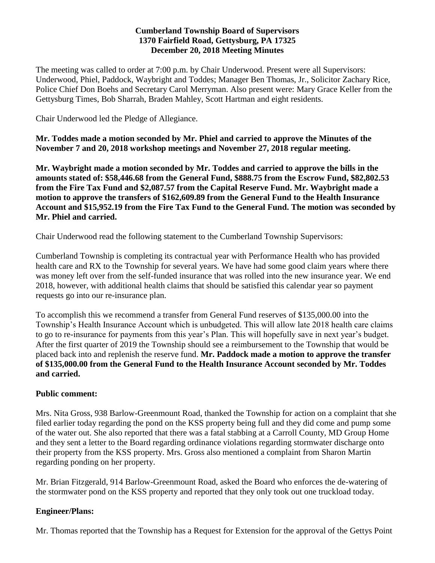#### **Cumberland Township Board of Supervisors 1370 Fairfield Road, Gettysburg, PA 17325 December 20, 2018 Meeting Minutes**

The meeting was called to order at 7:00 p.m. by Chair Underwood. Present were all Supervisors: Underwood, Phiel, Paddock, Waybright and Toddes; Manager Ben Thomas, Jr., Solicitor Zachary Rice, Police Chief Don Boehs and Secretary Carol Merryman. Also present were: Mary Grace Keller from the Gettysburg Times, Bob Sharrah, Braden Mahley, Scott Hartman and eight residents.

Chair Underwood led the Pledge of Allegiance.

**Mr. Toddes made a motion seconded by Mr. Phiel and carried to approve the Minutes of the November 7 and 20, 2018 workshop meetings and November 27, 2018 regular meeting.**

**Mr. Waybright made a motion seconded by Mr. Toddes and carried to approve the bills in the amounts stated of: \$58,446.68 from the General Fund, \$888.75 from the Escrow Fund, \$82,802.53 from the Fire Tax Fund and \$2,087.57 from the Capital Reserve Fund. Mr. Waybright made a motion to approve the transfers of \$162,609.89 from the General Fund to the Health Insurance Account and \$15,952.19 from the Fire Tax Fund to the General Fund. The motion was seconded by Mr. Phiel and carried.**

Chair Underwood read the following statement to the Cumberland Township Supervisors:

Cumberland Township is completing its contractual year with Performance Health who has provided health care and RX to the Township for several years. We have had some good claim years where there was money left over from the self-funded insurance that was rolled into the new insurance year. We end 2018, however, with additional health claims that should be satisfied this calendar year so payment requests go into our re-insurance plan.

To accomplish this we recommend a transfer from General Fund reserves of \$135,000.00 into the Township's Health Insurance Account which is unbudgeted. This will allow late 2018 health care claims to go to re-insurance for payments from this year's Plan. This will hopefully save in next year's budget. After the first quarter of 2019 the Township should see a reimbursement to the Township that would be placed back into and replenish the reserve fund. **Mr. Paddock made a motion to approve the transfer of \$135,000.00 from the General Fund to the Health Insurance Account seconded by Mr. Toddes and carried.**

#### **Public comment:**

Mrs. Nita Gross, 938 Barlow-Greenmount Road, thanked the Township for action on a complaint that she filed earlier today regarding the pond on the KSS property being full and they did come and pump some of the water out. She also reported that there was a fatal stabbing at a Carroll County, MD Group Home and they sent a letter to the Board regarding ordinance violations regarding stormwater discharge onto their property from the KSS property. Mrs. Gross also mentioned a complaint from Sharon Martin regarding ponding on her property.

Mr. Brian Fitzgerald, 914 Barlow-Greenmount Road, asked the Board who enforces the de-watering of the stormwater pond on the KSS property and reported that they only took out one truckload today.

#### **Engineer/Plans:**

Mr. Thomas reported that the Township has a Request for Extension for the approval of the Gettys Point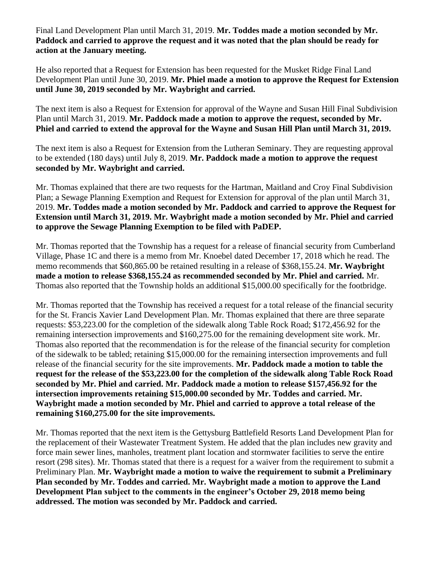Final Land Development Plan until March 31, 2019. **Mr. Toddes made a motion seconded by Mr. Paddock and carried to approve the request and it was noted that the plan should be ready for action at the January meeting.**

He also reported that a Request for Extension has been requested for the Musket Ridge Final Land Development Plan until June 30, 2019. **Mr. Phiel made a motion to approve the Request for Extension until June 30, 2019 seconded by Mr. Waybright and carried.**

The next item is also a Request for Extension for approval of the Wayne and Susan Hill Final Subdivision Plan until March 31, 2019. **Mr. Paddock made a motion to approve the request, seconded by Mr. Phiel and carried to extend the approval for the Wayne and Susan Hill Plan until March 31, 2019.**

The next item is also a Request for Extension from the Lutheran Seminary. They are requesting approval to be extended (180 days) until July 8, 2019. **Mr. Paddock made a motion to approve the request seconded by Mr. Waybright and carried.**

Mr. Thomas explained that there are two requests for the Hartman, Maitland and Croy Final Subdivision Plan; a Sewage Planning Exemption and Request for Extension for approval of the plan until March 31, 2019. **Mr. Toddes made a motion seconded by Mr. Paddock and carried to approve the Request for Extension until March 31, 2019. Mr. Waybright made a motion seconded by Mr. Phiel and carried to approve the Sewage Planning Exemption to be filed with PaDEP.** 

Mr. Thomas reported that the Township has a request for a release of financial security from Cumberland Village, Phase 1C and there is a memo from Mr. Knoebel dated December 17, 2018 which he read. The memo recommends that \$60,865.00 be retained resulting in a release of \$368,155.24. **Mr. Waybright made a motion to release \$368,155.24 as recommended seconded by Mr. Phiel and carried.** Mr. Thomas also reported that the Township holds an additional \$15,000.00 specifically for the footbridge.

Mr. Thomas reported that the Township has received a request for a total release of the financial security for the St. Francis Xavier Land Development Plan. Mr. Thomas explained that there are three separate requests: \$53,223.00 for the completion of the sidewalk along Table Rock Road; \$172,456.92 for the remaining intersection improvements and \$160,275.00 for the remaining development site work. Mr. Thomas also reported that the recommendation is for the release of the financial security for completion of the sidewalk to be tabled; retaining \$15,000.00 for the remaining intersection improvements and full release of the financial security for the site improvements. **Mr. Paddock made a motion to table the request for the release of the \$53,223.00 for the completion of the sidewalk along Table Rock Road seconded by Mr. Phiel and carried. Mr. Paddock made a motion to release \$157,456.92 for the intersection improvements retaining \$15,000.00 seconded by Mr. Toddes and carried. Mr. Waybright made a motion seconded by Mr. Phiel and carried to approve a total release of the remaining \$160,275.00 for the site improvements.** 

Mr. Thomas reported that the next item is the Gettysburg Battlefield Resorts Land Development Plan for the replacement of their Wastewater Treatment System. He added that the plan includes new gravity and force main sewer lines, manholes, treatment plant location and stormwater facilities to serve the entire resort (298 sites). Mr. Thomas stated that there is a request for a waiver from the requirement to submit a Preliminary Plan. **Mr. Waybright made a motion to waive the requirement to submit a Preliminary Plan seconded by Mr. Toddes and carried. Mr. Waybright made a motion to approve the Land Development Plan subject to the comments in the engineer's October 29, 2018 memo being addressed. The motion was seconded by Mr. Paddock and carried.**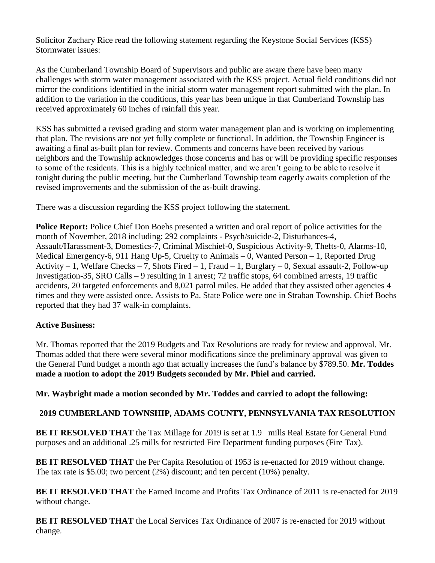Solicitor Zachary Rice read the following statement regarding the Keystone Social Services (KSS) Stormwater issues:

As the Cumberland Township Board of Supervisors and public are aware there have been many challenges with storm water management associated with the KSS project. Actual field conditions did not mirror the conditions identified in the initial storm water management report submitted with the plan. In addition to the variation in the conditions, this year has been unique in that Cumberland Township has received approximately 60 inches of rainfall this year.

KSS has submitted a revised grading and storm water management plan and is working on implementing that plan. The revisions are not yet fully complete or functional. In addition, the Township Engineer is awaiting a final as-built plan for review. Comments and concerns have been received by various neighbors and the Township acknowledges those concerns and has or will be providing specific responses to some of the residents. This is a highly technical matter, and we aren't going to be able to resolve it tonight during the public meeting, but the Cumberland Township team eagerly awaits completion of the revised improvements and the submission of the as-built drawing.

There was a discussion regarding the KSS project following the statement.

**Police Report:** Police Chief Don Boehs presented a written and oral report of police activities for the month of November, 2018 including: 292 complaints - Psych/suicide-2, Disturbances-4, Assault/Harassment-3, Domestics-7, Criminal Mischief-0, Suspicious Activity-9, Thefts-0, Alarms-10, Medical Emergency-6, 911 Hang Up-5, Cruelty to Animals – 0, Wanted Person – 1, Reported Drug Activity – 1, Welfare Checks – 7, Shots Fired – 1, Fraud – 1, Burglary – 0, Sexual assault-2, Follow-up Investigation-35, SRO Calls – 9 resulting in 1 arrest; 72 traffic stops, 64 combined arrests, 19 traffic accidents, 20 targeted enforcements and 8,021 patrol miles. He added that they assisted other agencies 4 times and they were assisted once. Assists to Pa. State Police were one in Straban Township. Chief Boehs reported that they had 37 walk-in complaints.

## **Active Business:**

Mr. Thomas reported that the 2019 Budgets and Tax Resolutions are ready for review and approval. Mr. Thomas added that there were several minor modifications since the preliminary approval was given to the General Fund budget a month ago that actually increases the fund's balance by \$789.50. **Mr. Toddes made a motion to adopt the 2019 Budgets seconded by Mr. Phiel and carried.**

**Mr. Waybright made a motion seconded by Mr. Toddes and carried to adopt the following:**

## **2019 CUMBERLAND TOWNSHIP, ADAMS COUNTY, PENNSYLVANIA TAX RESOLUTION**

**BE IT RESOLVED THAT** the Tax Millage for 2019 is set at 1.9 mills Real Estate for General Fund purposes and an additional .25 mills for restricted Fire Department funding purposes (Fire Tax).

**BE IT RESOLVED THAT** the Per Capita Resolution of 1953 is re-enacted for 2019 without change. The tax rate is \$5.00; two percent (2%) discount; and ten percent (10%) penalty.

**BE IT RESOLVED THAT** the Earned Income and Profits Tax Ordinance of 2011 is re-enacted for 2019 without change.

**BE IT RESOLVED THAT** the Local Services Tax Ordinance of 2007 is re-enacted for 2019 without change.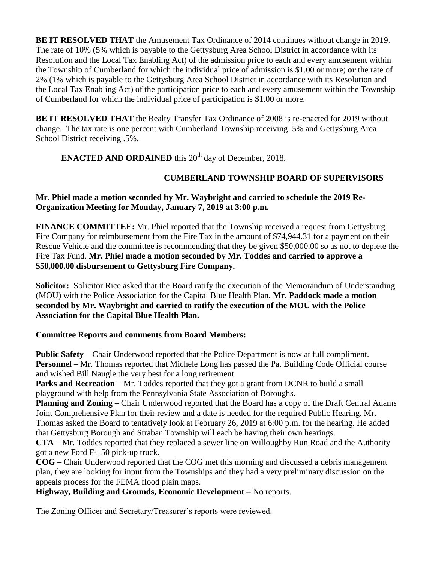**BE IT RESOLVED THAT** the Amusement Tax Ordinance of 2014 continues without change in 2019. The rate of 10% (5% which is payable to the Gettysburg Area School District in accordance with its Resolution and the Local Tax Enabling Act) of the admission price to each and every amusement within the Township of Cumberland for which the individual price of admission is \$1.00 or more; **or** the rate of 2% (1% which is payable to the Gettysburg Area School District in accordance with its Resolution and the Local Tax Enabling Act) of the participation price to each and every amusement within the Township of Cumberland for which the individual price of participation is \$1.00 or more.

**BE IT RESOLVED THAT** the Realty Transfer Tax Ordinance of 2008 is re-enacted for 2019 without change. The tax rate is one percent with Cumberland Township receiving .5% and Gettysburg Area School District receiving .5%.

**ENACTED AND ORDAINED** this 20<sup>th</sup> day of December, 2018.

# **CUMBERLAND TOWNSHIP BOARD OF SUPERVISORS**

#### **Mr. Phiel made a motion seconded by Mr. Waybright and carried to schedule the 2019 Re-Organization Meeting for Monday, January 7, 2019 at 3:00 p.m.**

**FINANCE COMMITTEE:** Mr. Phiel reported that the Township received a request from Gettysburg Fire Company for reimbursement from the Fire Tax in the amount of \$74,944.31 for a payment on their Rescue Vehicle and the committee is recommending that they be given \$50,000.00 so as not to deplete the Fire Tax Fund. **Mr. Phiel made a motion seconded by Mr. Toddes and carried to approve a \$50,000.00 disbursement to Gettysburg Fire Company.**

**Solicitor:** Solicitor Rice asked that the Board ratify the execution of the Memorandum of Understanding (MOU) with the Police Association for the Capital Blue Health Plan. **Mr. Paddock made a motion seconded by Mr. Waybright and carried to ratify the execution of the MOU with the Police Association for the Capital Blue Health Plan.** 

## **Committee Reports and comments from Board Members:**

**Public Safety –** Chair Underwood reported that the Police Department is now at full compliment. **Personnel –** Mr. Thomas reported that Michele Long has passed the Pa. Building Code Official course and wished Bill Naugle the very best for a long retirement.

**Parks and Recreation** – Mr. Toddes reported that they got a grant from DCNR to build a small playground with help from the Pennsylvania State Association of Boroughs.

**Planning and Zoning –** Chair Underwood reported that the Board has a copy of the Draft Central Adams Joint Comprehensive Plan for their review and a date is needed for the required Public Hearing. Mr. Thomas asked the Board to tentatively look at February 26, 2019 at 6:00 p.m. for the hearing. He added that Gettysburg Borough and Straban Township will each be having their own hearings.

**CTA** – Mr. Toddes reported that they replaced a sewer line on Willoughby Run Road and the Authority got a new Ford F-150 pick-up truck.

**COG –** Chair Underwood reported that the COG met this morning and discussed a debris management plan, they are looking for input from the Townships and they had a very preliminary discussion on the appeals process for the FEMA flood plain maps.

**Highway, Building and Grounds, Economic Development –** No reports.

The Zoning Officer and Secretary/Treasurer's reports were reviewed.